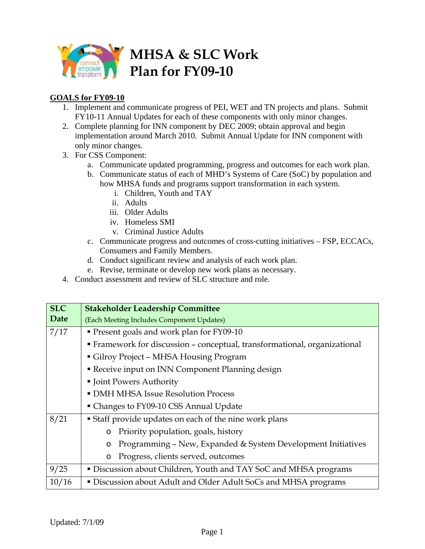

## **GOALS for FY09-10**

- 1. Implement and communicate progress of PEI, WET and TN projects and plans. Submit FY10-11 Annual Updates for each of these components with only minor changes.
- 2. Complete planning for INN component by DEC 2009; obtain approval and begin implementation around March 2010. Submit Annual Update for INN component with only minor changes.
- 3. For CSS Component:
	- a. Communicate updated programming, progress and outcomes for each work plan.
	- b. Communicate status of each of MHD's Systems of Care (SoC) by population and how MHSA funds and programs support transformation in each system.
		- i. Children, Youth and TAY
		- ii. Adults
		- iii. Older Adults
		- iv. Homeless SMI
		- v. Criminal Justice Adults
	- c. Communicate progress and outcomes of cross-cutting initiatives FSP, ECCACs, Consumers and Family Members.
	- d. Conduct significant review and analysis of each work plan.
	- e. Revise, terminate or develop new work plans as necessary.
- 4. Conduct assessment and review of SLC structure and role.

| <b>SLC</b> | <b>Stakeholder Leadership Committee</b>                                   |
|------------|---------------------------------------------------------------------------|
| Date       | (Each Meeting Includes Component Updates)                                 |
| 7/17       | Present goals and work plan for FY09-10                                   |
|            | • Framework for discussion - conceptual, transformational, organizational |
|            | Gilroy Project - MHSA Housing Program                                     |
|            | Receive input on INN Component Planning design                            |
|            | • Joint Powers Authority                                                  |
|            | • DMH MHSA Issue Resolution Process                                       |
|            | • Changes to FY09-10 CSS Annual Update                                    |
| 8/21       | <b>Staff provide updates on each of the nine work plans</b>               |
|            | Priority population, goals, history<br>$\circ$                            |
|            | Programming - New, Expanded & System Development Initiatives<br>O         |
|            | Progress, clients served, outcomes<br>$\circ$                             |
| 9/25       | • Discussion about Children, Youth and TAY SoC and MHSA programs          |
| 10/16      | • Discussion about Adult and Older Adult SoCs and MHSA programs           |